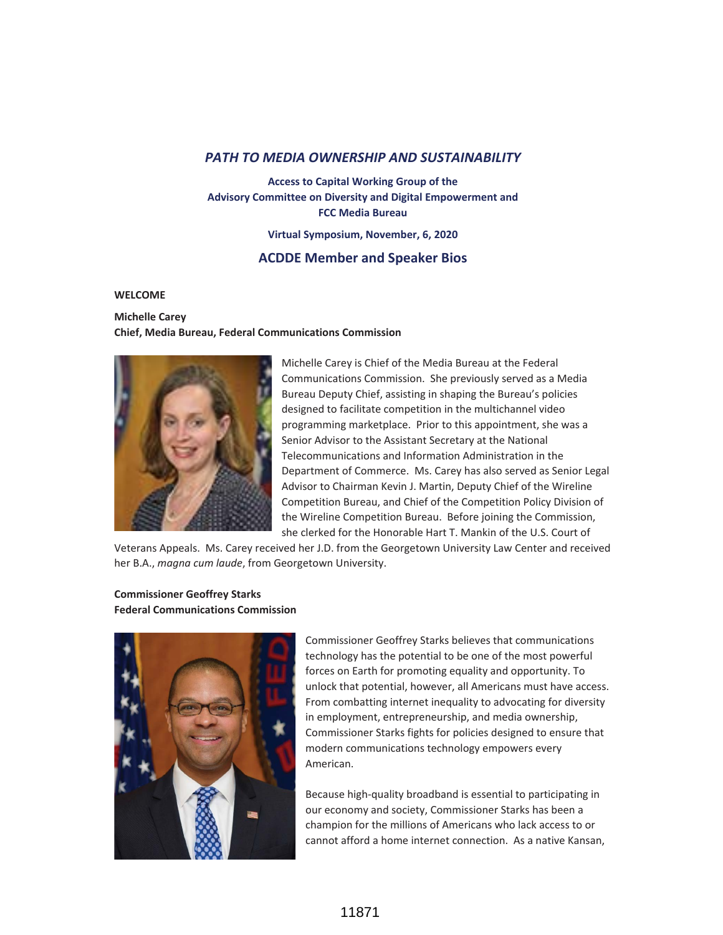# *PATH TO MEDIA OWNERSHIP AND SUSTAINABILITY*

**Access to Capital Working Group of the Advisory Committee on Diversity and Digital Empowerment and FCC Media Bureau**

**Virtual Symposium, November, 6, 2020**

# **ACDDE Member and Speaker Bios**

#### **WELCOME**

# **Michelle Carey Chief, Media Bureau, Federal Communications Commission**



Michelle Carey is Chief of the Media Bureau at the Federal Communications Commission. She previously served as a Media Bureau Deputy Chief, assisting in shaping the Bureau's policies designed to facilitate competition in the multichannel video programming marketplace. Prior to this appointment, she was a Senior Advisor to the Assistant Secretary at the National Telecommunications and Information Administration in the Department of Commerce. Ms. Carey has also served as Senior Legal Advisor to Chairman Kevin J. Martin, Deputy Chief of the Wireline Competition Bureau, and Chief of the Competition Policy Division of the Wireline Competition Bureau. Before joining the Commission, she clerked for the Honorable Hart T. Mankin of the U.S. Court of

Veterans Appeals. Ms. Carey received her J.D. from the Georgetown University Law Center and received her B.A., *magna cum laude*, from Georgetown University.

# **Commissioner Geoffrey Starks Federal Communications Commission**



Commissioner Geoffrey Starks believes that communications technology has the potential to be one of the most powerful forces on Earth for promoting equality and opportunity. To unlock that potential, however, all Americans must have access. From combatting internet inequality to advocating for diversity in employment, entrepreneurship, and media ownership, Commissioner Starks fights for policies designed to ensure that modern communications technology empowers every American.

Because high-quality broadband is essential to participating in our economy and society, Commissioner Starks has been a champion for the millions of Americans who lack access to or cannot afford a home internet connection. As a native Kansan,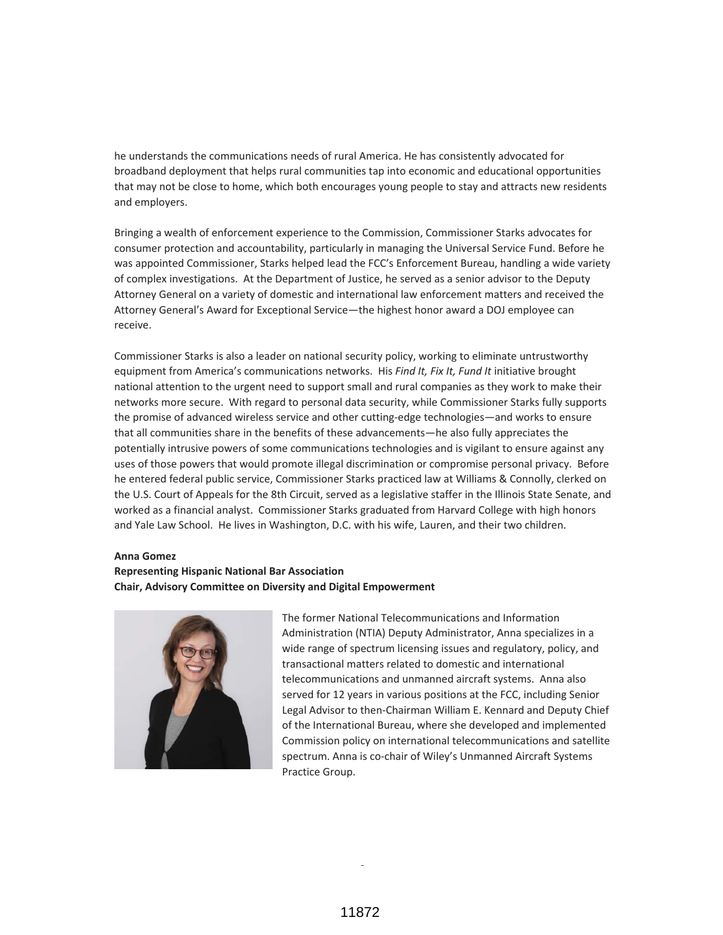he understands the communications needs of rural America. He has consistently advocated for broadband deployment that helps rural communities tap into economic and educational opportunities that may not be close to home, which both encourages young people to stay and attracts new residents and employers.

Bringing a wealth of enforcement experience to the Commission, Commissioner Starks advocates for consumer protection and accountability, particularly in managing the Universal Service Fund. Before he was appointed Commissioner, Starks helped lead the FCC's Enforcement Bureau, handling a wide variety of complex investigations. At the Department of Justice, he served as a senior advisor to the Deputy Attorney General on a variety of domestic and international law enforcement matters and received the Attorney General's Award for Exceptional Service—the highest honor award a DOJ employee can receive.

Commissioner Starks is also a leader on national security policy, working to eliminate untrustworthy equipment from America's communications networks. His *Find It, Fix It, Fund It* initiative brought national attention to the urgent need to support small and rural companies as they work to make their networks more secure. With regard to personal data security, while Commissioner Starks fully supports the promise of advanced wireless service and other cutting-edge technologies—and works to ensure that all communities share in the benefits of these advancements—he also fully appreciates the potentially intrusive powers of some communications technologies and is vigilant to ensure against any uses of those powers that would promote illegal discrimination or compromise personal privacy. Before he entered federal public service, Commissioner Starks practiced law at Williams & Connolly, clerked on the U.S. Court of Appeals for the 8th Circuit, served as a legislative staffer in the Illinois State Senate, and worked as a financial analyst. Commissioner Starks graduated from Harvard College with high honors and Yale Law School. He lives in Washington, D.C. with his wife, Lauren, and their two children.

#### **Anna Gomez**

# **Representing Hispanic National Bar Association Chair, Advisory Committee on Diversity and Digital Empowerment**



The former National Telecommunications and Information Administration (NTIA) Deputy Administrator, Anna specializes in a wide range of spectrum licensing issues and regulatory, policy, and transactional matters related to domestic and international telecommunications and unmanned aircraft systems. Anna also served for 12 years in various positions at the FCC, including Senior Legal Advisor to then-Chairman William E. Kennard and Deputy Chief of the International Bureau, where she developed and implemented Commission policy on international telecommunications and satellite spectrum. Anna is co-chair of Wiley's Unmanned Aircraft Systems Practice Group.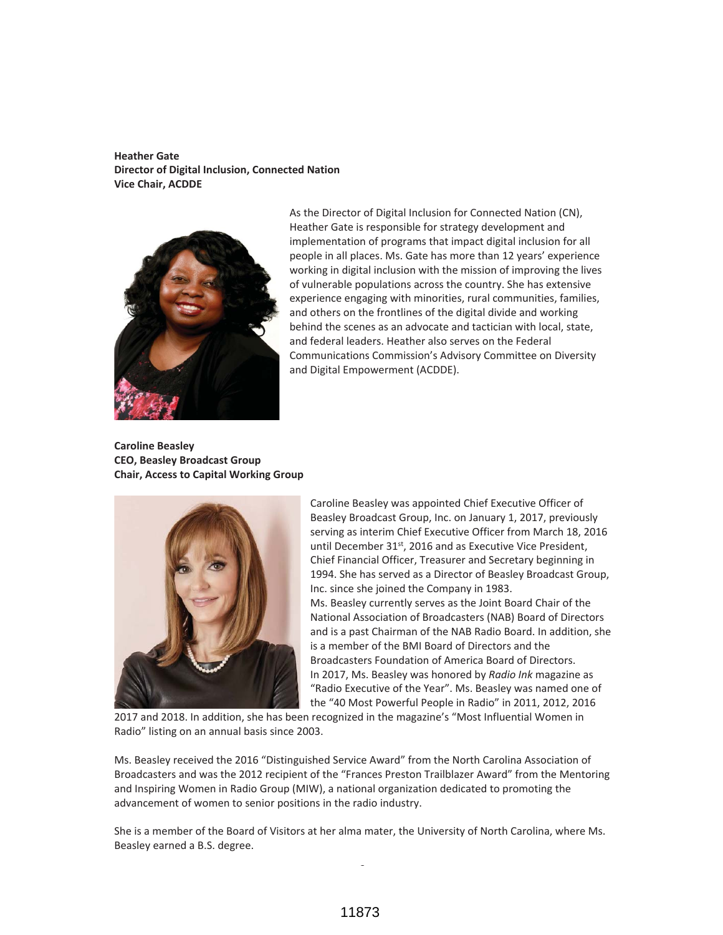**Heather Gate Director of Digital Inclusion, Connected Nation Vice Chair, ACDDE**



As the Director of Digital Inclusion for Connected Nation (CN), Heather Gate is responsible for strategy development and implementation of programs that impact digital inclusion for all people in all places. Ms. Gate has more than 12 years' experience working in digital inclusion with the mission of improving the lives of vulnerable populations across the country. She has extensive experience engaging with minorities, rural communities, families, and others on the frontlines of the digital divide and working behind the scenes as an advocate and tactician with local, state, and federal leaders. Heather also serves on the Federal Communications Commission's Advisory Committee on Diversity and Digital Empowerment (ACDDE).

**Caroline Beasley CEO, Beasley Broadcast Group Chair, Access to Capital Working Group**



Caroline Beasley was appointed Chief Executive Officer of Beasley Broadcast Group, Inc. on January 1, 2017, previously serving as interim Chief Executive Officer from March 18, 2016 until December 31<sup>st</sup>, 2016 and as Executive Vice President, Chief Financial Officer, Treasurer and Secretary beginning in 1994. She has served as a Director of Beasley Broadcast Group, Inc. since she joined the Company in 1983. Ms. Beasley currently serves as the Joint Board Chair of the National Association of Broadcasters (NAB) Board of Directors and is a past Chairman of the NAB Radio Board. In addition, she is a member of the BMI Board of Directors and the Broadcasters Foundation of America Board of Directors. In 2017, Ms. Beasley was honored by *Radio Ink* magazine as "Radio Executive of the Year". Ms. Beasley was named one of the "40 Most Powerful People in Radio" in 2011, 2012, 2016

2017 and 2018. In addition, she has been recognized in the magazine's "Most Influential Women in Radio" listing on an annual basis since 2003.

Ms. Beasley received the 2016 "Distinguished Service Award" from the North Carolina Association of Broadcasters and was the 2012 recipient of the "Frances Preston Trailblazer Award" from the Mentoring and Inspiring Women in Radio Group (MIW), a national organization dedicated to promoting the advancement of women to senior positions in the radio industry.

She is a member of the Board of Visitors at her alma mater, the University of North Carolina, where Ms. Beasley earned a B.S. degree.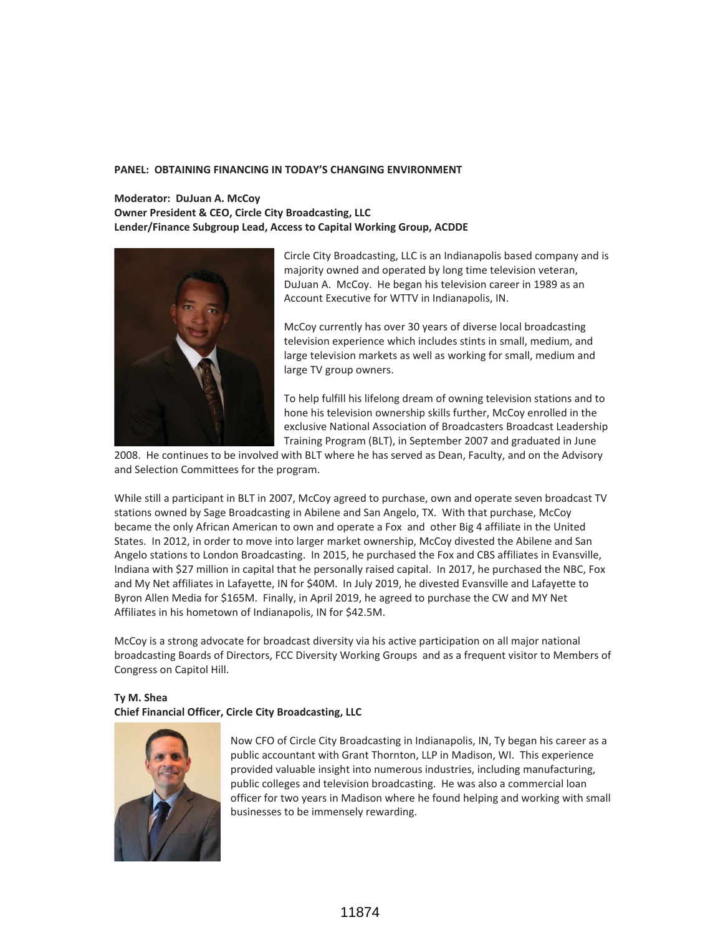### **PANEL: OBTAINING FINANCING IN TODAY'S CHANGING ENVIRONMENT**

# **Moderator: DuJuan A. McCoy Owner President & CEO, Circle City Broadcasting, LLC Lender/Finance Subgroup Lead, Access to Capital Working Group, ACDDE**



Circle City Broadcasting, LLC is an Indianapolis based company and is majority owned and operated by long time television veteran, DuJuan A. McCoy. He began his television career in 1989 as an Account Executive for WTTV in Indianapolis, IN.

McCoy currently has over 30 years of diverse local broadcasting television experience which includes stints in small, medium, and large television markets as well as working for small, medium and large TV group owners.

To help fulfill his lifelong dream of owning television stations and to hone his television ownership skills further, McCoy enrolled in the exclusive National Association of Broadcasters Broadcast Leadership Training Program (BLT), in September 2007 and graduated in June

2008. He continues to be involved with BLT where he has served as Dean, Faculty, and on the Advisory and Selection Committees for the program.

While still a participant in BLT in 2007, McCoy agreed to purchase, own and operate seven broadcast TV stations owned by Sage Broadcasting in Abilene and San Angelo, TX. With that purchase, McCoy became the only African American to own and operate a Fox and other Big 4 affiliate in the United States. In 2012, in order to move into larger market ownership, McCoy divested the Abilene and San Angelo stations to London Broadcasting. In 2015, he purchased the Fox and CBS affiliates in Evansville, Indiana with \$27 million in capital that he personally raised capital. In 2017, he purchased the NBC, Fox and My Net affiliates in Lafayette, IN for \$40M. In July 2019, he divested Evansville and Lafayette to Byron Allen Media for \$165M. Finally, in April 2019, he agreed to purchase the CW and MY Net Affiliates in his hometown of Indianapolis, IN for \$42.5M.

McCoy is a strong advocate for broadcast diversity via his active participation on all major national broadcasting Boards of Directors, FCC Diversity Working Groups and as a frequent visitor to Members of Congress on Capitol Hill.

# **Ty M. Shea Chief Financial Officer, Circle City Broadcasting, LLC**



Now CFO of Circle City Broadcasting in Indianapolis, IN, Ty began his career as a public accountant with Grant Thornton, LLP in Madison, WI. This experience provided valuable insight into numerous industries, including manufacturing, public colleges and television broadcasting. He was also a commercial loan officer for two years in Madison where he found helping and working with small businesses to be immensely rewarding.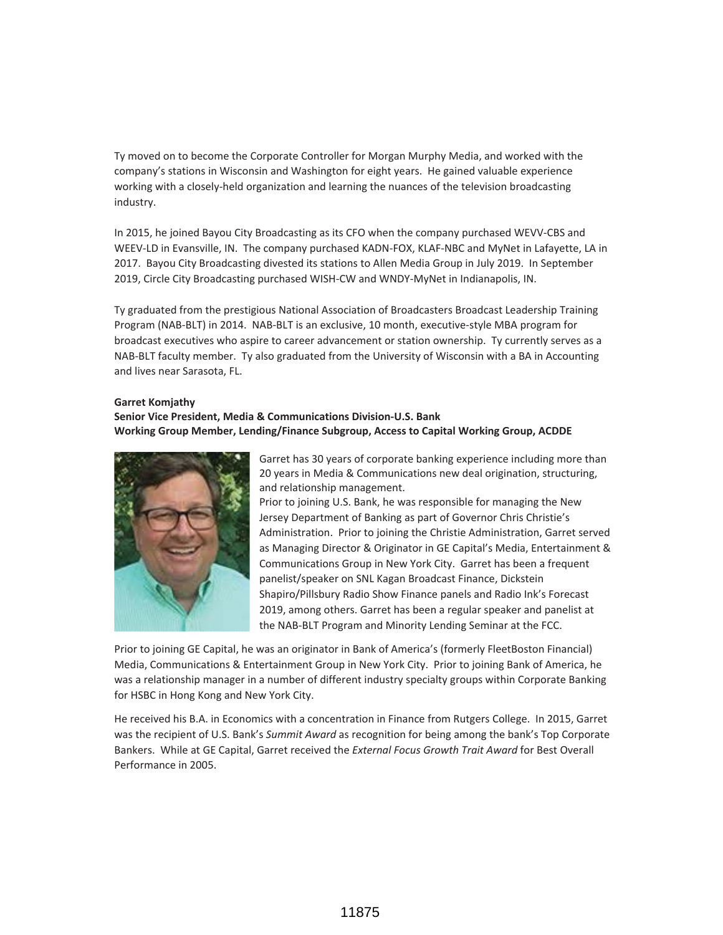Ty moved on to become the Corporate Controller for Morgan Murphy Media, and worked with the company's stations in Wisconsin and Washington for eight years. He gained valuable experience working with a closely-held organization and learning the nuances of the television broadcasting industry.

In 2015, he joined Bayou City Broadcasting as its CFO when the company purchased WEVV-CBS and WEEV-LD in Evansville, IN. The company purchased KADN-FOX, KLAF-NBC and MyNet in Lafayette, LA in 2017. Bayou City Broadcasting divested its stations to Allen Media Group in July 2019. In September 2019, Circle City Broadcasting purchased WISH-CW and WNDY-MyNet in Indianapolis, IN.

Ty graduated from the prestigious National Association of Broadcasters Broadcast Leadership Training Program (NAB-BLT) in 2014. NAB-BLT is an exclusive, 10 month, executive-style MBA program for broadcast executives who aspire to career advancement or station ownership. Ty currently serves as a NAB-BLT faculty member. Ty also graduated from the University of Wisconsin with a BA in Accounting and lives near Sarasota, FL.

#### **Garret Komjathy**

### **Senior Vice President, Media & Communications Division-U.S. Bank Working Group Member, Lending/Finance Subgroup, Access to Capital Working Group, ACDDE**



Garret has 30 years of corporate banking experience including more than 20 years in Media & Communications new deal origination, structuring, and relationship management.

Prior to joining U.S. Bank, he was responsible for managing the New Jersey Department of Banking as part of Governor Chris Christie's Administration. Prior to joining the Christie Administration, Garret served as Managing Director & Originator in GE Capital's Media, Entertainment & Communications Group in New York City. Garret has been a frequent panelist/speaker on SNL Kagan Broadcast Finance, Dickstein Shapiro/Pillsbury Radio Show Finance panels and Radio Ink's Forecast 2019, among others. Garret has been a regular speaker and panelist at the NAB-BLT Program and Minority Lending Seminar at the FCC.

Prior to joining GE Capital, he was an originator in Bank of America's (formerly FleetBoston Financial) Media, Communications & Entertainment Group in New York City. Prior to joining Bank of America, he was a relationship manager in a number of different industry specialty groups within Corporate Banking for HSBC in Hong Kong and New York City.

He received his B.A. in Economics with a concentration in Finance from Rutgers College. In 2015, Garret was the recipient of U.S. Bank's *Summit Award* as recognition for being among the bank's Top Corporate Bankers. While at GE Capital, Garret received the *External Focus Growth Trait Award* for Best Overall Performance in 2005.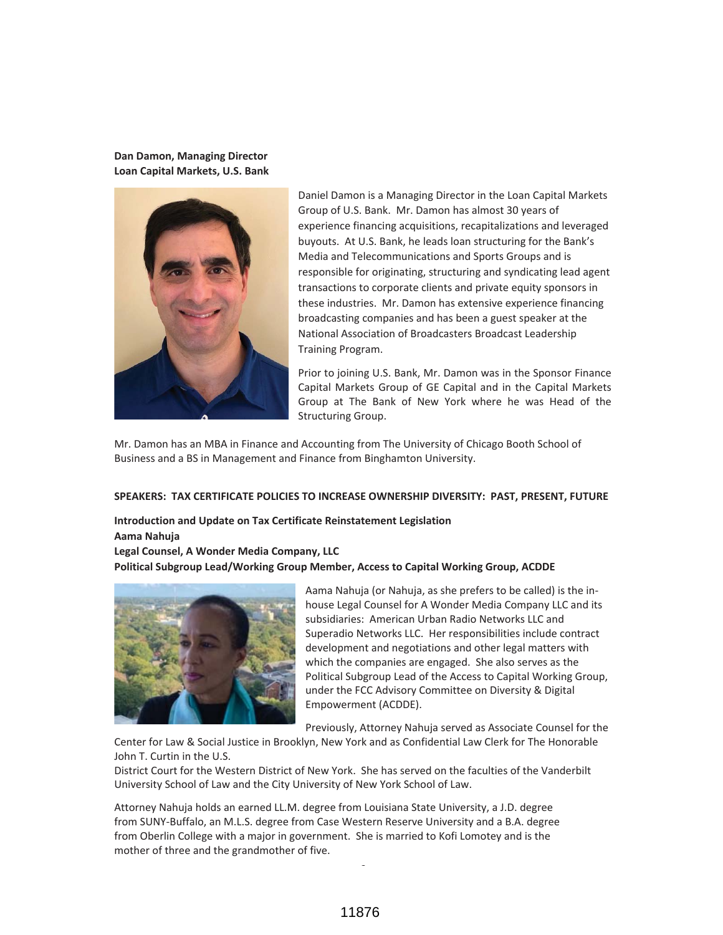**Dan Damon, Managing Director Loan Capital Markets, U.S. Bank**



Daniel Damon is a Managing Director in the Loan Capital Markets Group of U.S. Bank. Mr. Damon has almost 30 years of experience financing acquisitions, recapitalizations and leveraged buyouts. At U.S. Bank, he leads loan structuring for the Bank's Media and Telecommunications and Sports Groups and is responsible for originating, structuring and syndicating lead agent transactions to corporate clients and private equity sponsors in these industries. Mr. Damon has extensive experience financing broadcasting companies and has been a guest speaker at the National Association of Broadcasters Broadcast Leadership Training Program.

Prior to joining U.S. Bank, Mr. Damon was in the Sponsor Finance Capital Markets Group of GE Capital and in the Capital Markets Group at The Bank of New York where he was Head of the Structuring Group.

Mr. Damon has an MBA in Finance and Accounting from The University of Chicago Booth School of Business and a BS in Management and Finance from Binghamton University.

#### **SPEAKERS: TAX CERTIFICATE POLICIES TO INCREASE OWNERSHIP DIVERSITY: PAST, PRESENT, FUTURE**

**Introduction and Update on Tax Certificate Reinstatement Legislation Aama Nahuja**

**Legal Counsel, A Wonder Media Company, LLC Political Subgroup Lead/Working Group Member, Access to Capital Working Group, ACDDE**



Aama Nahuja (or Nahuja, as she prefers to be called) is the inhouse Legal Counsel for A Wonder Media Company LLC and its subsidiaries: American Urban Radio Networks LLC and Superadio Networks LLC. Her responsibilities include contract development and negotiations and other legal matters with which the companies are engaged. She also serves as the Political Subgroup Lead of the Access to Capital Working Group, under the FCC Advisory Committee on Diversity & Digital Empowerment (ACDDE).

Previously, Attorney Nahuja served as Associate Counsel for the

Center for Law & Social Justice in Brooklyn, New York and as Confidential Law Clerk for The Honorable John T. Curtin in the U.S.

District Court for the Western District of New York. She has served on the faculties of the Vanderbilt University School of Law and the City University of New York School of Law.

Attorney Nahuja holds an earned LL.M. degree from Louisiana State University, a J.D. degree from SUNY-Buffalo, an M.L.S. degree from Case Western Reserve University and a B.A. degree from Oberlin College with a major in government. She is married to Kofi Lomotey and is the mother of three and the grandmother of five.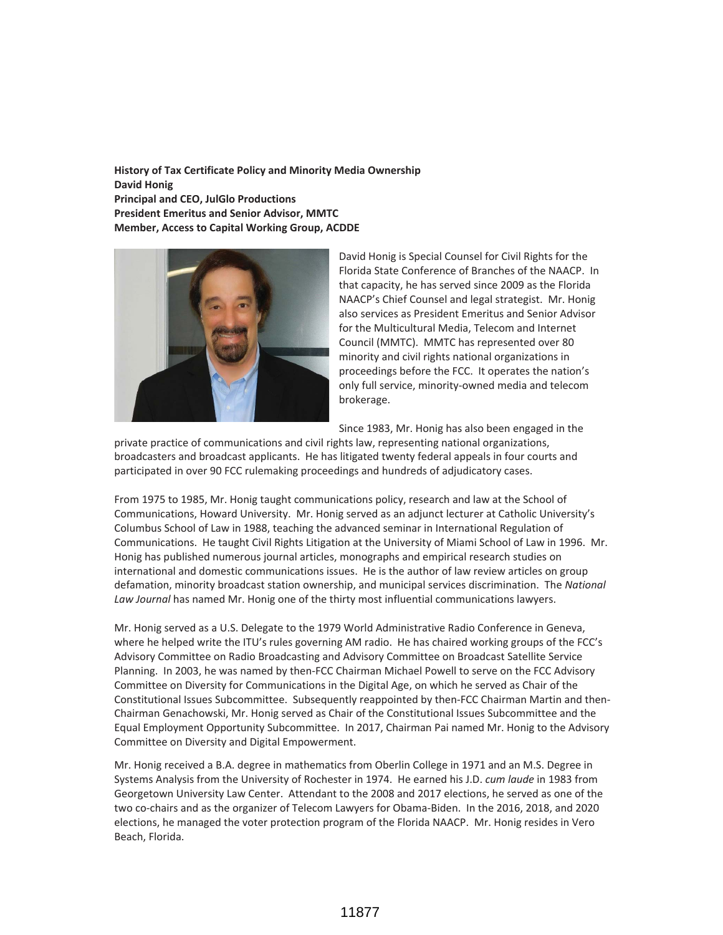**History of Tax Certificate Policy and Minority Media Ownership David Honig Principal and CEO, JulGlo Productions President Emeritus and Senior Advisor, MMTC Member, Access to Capital Working Group, ACDDE**



David Honig is Special Counsel for Civil Rights for the Florida State Conference of Branches of the NAACP. In that capacity, he has served since 2009 as the Florida NAACP's Chief Counsel and legal strategist. Mr. Honig also services as President Emeritus and Senior Advisor for the Multicultural Media, Telecom and Internet Council (MMTC). MMTC has represented over 80 minority and civil rights national organizations in proceedings before the FCC. It operates the nation's only full service, minority-owned media and telecom brokerage.

Since 1983, Mr. Honig has also been engaged in the

private practice of communications and civil rights law, representing national organizations, broadcasters and broadcast applicants. He has litigated twenty federal appeals in four courts and participated in over 90 FCC rulemaking proceedings and hundreds of adjudicatory cases.

From 1975 to 1985, Mr. Honig taught communications policy, research and law at the School of Communications, Howard University. Mr. Honig served as an adjunct lecturer at Catholic University's Columbus School of Law in 1988, teaching the advanced seminar in International Regulation of Communications. He taught Civil Rights Litigation at the University of Miami School of Law in 1996. Mr. Honig has published numerous journal articles, monographs and empirical research studies on international and domestic communications issues. He is the author of law review articles on group defamation, minority broadcast station ownership, and municipal services discrimination. The *National Law Journal* has named Mr. Honig one of the thirty most influential communications lawyers.

Mr. Honig served as a U.S. Delegate to the 1979 World Administrative Radio Conference in Geneva, where he helped write the ITU's rules governing AM radio. He has chaired working groups of the FCC's Advisory Committee on Radio Broadcasting and Advisory Committee on Broadcast Satellite Service Planning. In 2003, he was named by then-FCC Chairman Michael Powell to serve on the FCC Advisory Committee on Diversity for Communications in the Digital Age, on which he served as Chair of the Constitutional Issues Subcommittee. Subsequently reappointed by then-FCC Chairman Martin and then-Chairman Genachowski, Mr. Honig served as Chair of the Constitutional Issues Subcommittee and the Equal Employment Opportunity Subcommittee. In 2017, Chairman Pai named Mr. Honig to the Advisory Committee on Diversity and Digital Empowerment.

Mr. Honig received a B.A. degree in mathematics from Oberlin College in 1971 and an M.S. Degree in Systems Analysis from the University of Rochester in 1974. He earned his J.D. *cum laude* in 1983 from Georgetown University Law Center. Attendant to the 2008 and 2017 elections, he served as one of the two co-chairs and as the organizer of Telecom Lawyers for Obama-Biden. In the 2016, 2018, and 2020 elections, he managed the voter protection program of the Florida NAACP. Mr. Honig resides in Vero Beach, Florida.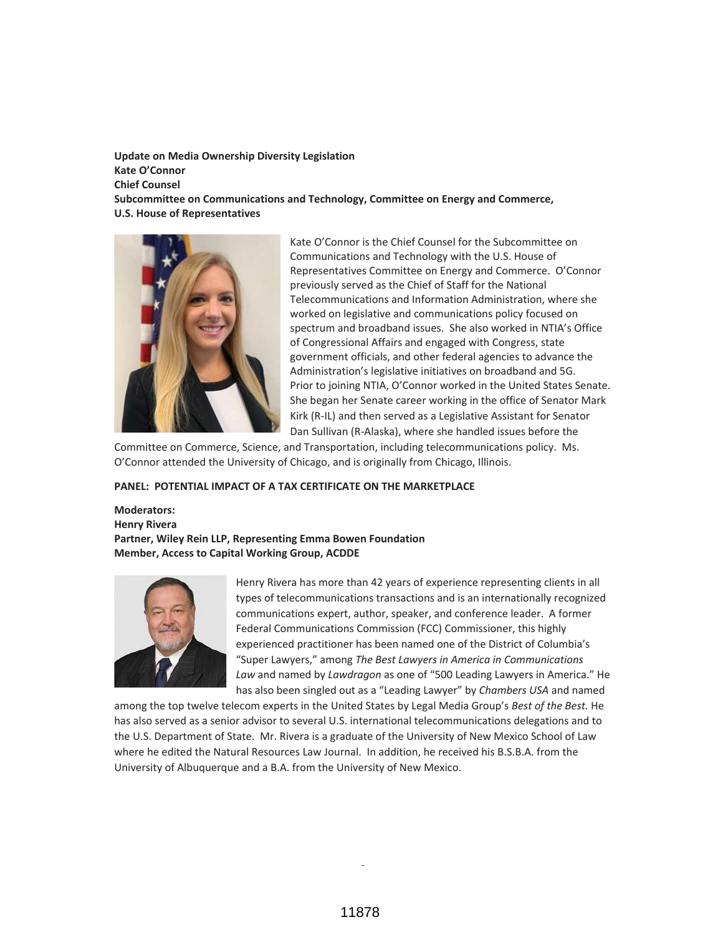**Update on Media Ownership Diversity Legislation Kate O'Connor Chief Counsel Subcommittee on Communications and Technology, Committee on Energy and Commerce, U.S. House of Representatives**



Kate O'Connor is the Chief Counsel for the Subcommittee on Communications and Technology with the U.S. House of Representatives Committee on Energy and Commerce. O'Connor previously served as the Chief of Staff for the National Telecommunications and Information Administration, where she worked on legislative and communications policy focused on spectrum and broadband issues. She also worked in NTIA's Office of Congressional Affairs and engaged with Congress, state government officials, and other federal agencies to advance the Administration's legislative initiatives on broadband and 5G. Prior to joining NTIA, O'Connor worked in the United States Senate. She began her Senate career working in the office of Senator Mark Kirk (R-IL) and then served as a Legislative Assistant for Senator Dan Sullivan (R-Alaska), where she handled issues before the

Committee on Commerce, Science, and Transportation, including telecommunications policy. Ms. O'Connor attended the University of Chicago, and is originally from Chicago, Illinois.

#### **PANEL: POTENTIAL IMPACT OF A TAX CERTIFICATE ON THE MARKETPLACE**

**Moderators: Henry Rivera Partner, Wiley Rein LLP, Representing Emma Bowen Foundation Member, Access to Capital Working Group, ACDDE**



Henry Rivera has more than 42 years of experience representing clients in all types of telecommunications transactions and is an internationally recognized communications expert, author, speaker, and conference leader. A former Federal Communications Commission (FCC) Commissioner, this highly experienced practitioner has been named one of the District of Columbia's "Super Lawyers," among *The Best Lawyers in America in Communications Law* and named by *Lawdragon* as one of "500 Leading Lawyers in America." He has also been singled out as a "Leading Lawyer" by *Chambers USA* and named

among the top twelve telecom experts in the United States by Legal Media Group's *Best of the Best.* He has also served as a senior advisor to several U.S. international telecommunications delegations and to the U.S. Department of State. Mr. Rivera is a graduate of the University of New Mexico School of Law where he edited the Natural Resources Law Journal. In addition, he received his B.S.B.A. from the University of Albuquerque and a B.A. from the University of New Mexico.

f,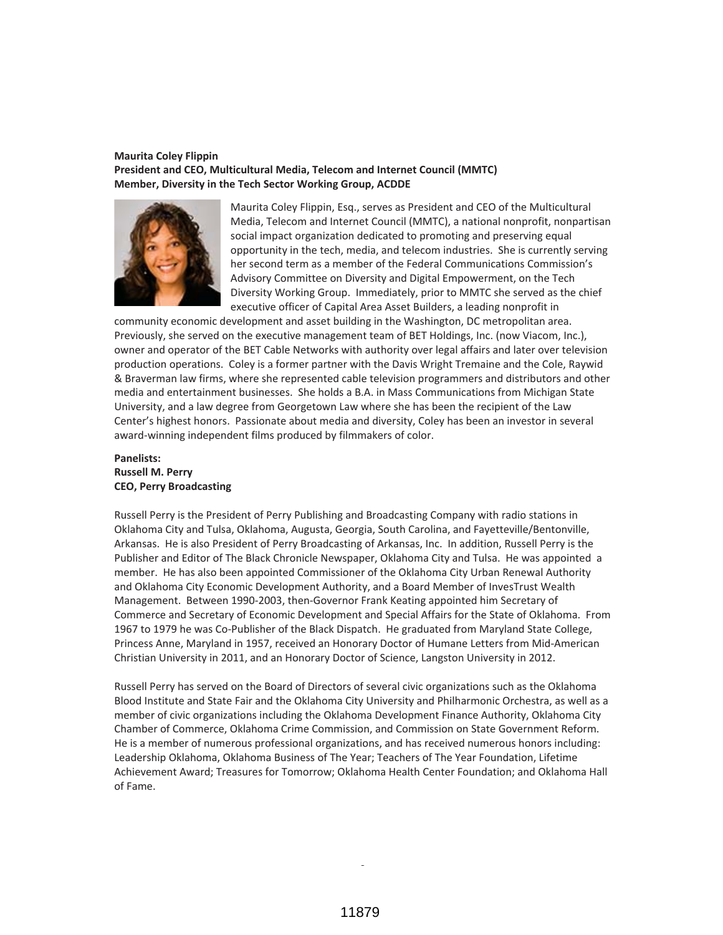#### **Maurita Coley Flippin President and CEO, Multicultural Media, Telecom and Internet Council (MMTC) Member, Diversity in the Tech Sector Working Group, ACDDE**



Maurita Coley Flippin, Esq., serves as President and CEO of the Multicultural Media, Telecom and Internet Council (MMTC), a national nonprofit, nonpartisan social impact organization dedicated to promoting and preserving equal opportunity in the tech, media, and telecom industries. She is currently serving her second term as a member of the Federal Communications Commission's Advisory Committee on Diversity and Digital Empowerment, on the Tech Diversity Working Group. Immediately, prior to MMTC she served as the chief executive officer of Capital Area Asset Builders, a leading nonprofit in

community economic development and asset building in the Washington, DC metropolitan area. Previously, she served on the executive management team of BET Holdings, Inc. (now Viacom, Inc.), owner and operator of the BET Cable Networks with authority over legal affairs and later over television production operations. Coley is a former partner with the Davis Wright Tremaine and the Cole, Raywid & Braverman law firms, where she represented cable television programmers and distributors and other media and entertainment businesses. She holds a B.A. in Mass Communications from Michigan State University, and a law degree from Georgetown Law where she has been the recipient of the Law Center's highest honors. Passionate about media and diversity, Coley has been an investor in several award-winning independent films produced by filmmakers of color.

### **Panelists: Russell M. Perry CEO, Perry Broadcasting**

Russell Perry is the President of Perry Publishing and Broadcasting Company with radio stations in Oklahoma City and Tulsa, Oklahoma, Augusta, Georgia, South Carolina, and Fayetteville/Bentonville, Arkansas. He is also President of Perry Broadcasting of Arkansas, Inc. In addition, Russell Perry is the Publisher and Editor of The Black Chronicle Newspaper, Oklahoma City and Tulsa. He was appointed a member. He has also been appointed Commissioner of the Oklahoma City Urban Renewal Authority and Oklahoma City Economic Development Authority, and a Board Member of InvesTrust Wealth Management. Between 1990-2003, then-Governor Frank Keating appointed him Secretary of Commerce and Secretary of Economic Development and Special Affairs for the State of Oklahoma. From 1967 to 1979 he was Co-Publisher of the Black Dispatch. He graduated from Maryland State College, Princess Anne, Maryland in 1957, received an Honorary Doctor of Humane Letters from Mid-American Christian University in 2011, and an Honorary Doctor of Science, Langston University in 2012.

Russell Perry has served on the Board of Directors of several civic organizations such as the Oklahoma Blood Institute and State Fair and the Oklahoma City University and Philharmonic Orchestra, as well as a member of civic organizations including the Oklahoma Development Finance Authority, Oklahoma City Chamber of Commerce, Oklahoma Crime Commission, and Commission on State Government Reform. He is a member of numerous professional organizations, and has received numerous honors including: Leadership Oklahoma, Oklahoma Business of The Year; Teachers of The Year Foundation, Lifetime Achievement Award; Treasures for Tomorrow; Oklahoma Health Center Foundation; and Oklahoma Hall of Fame.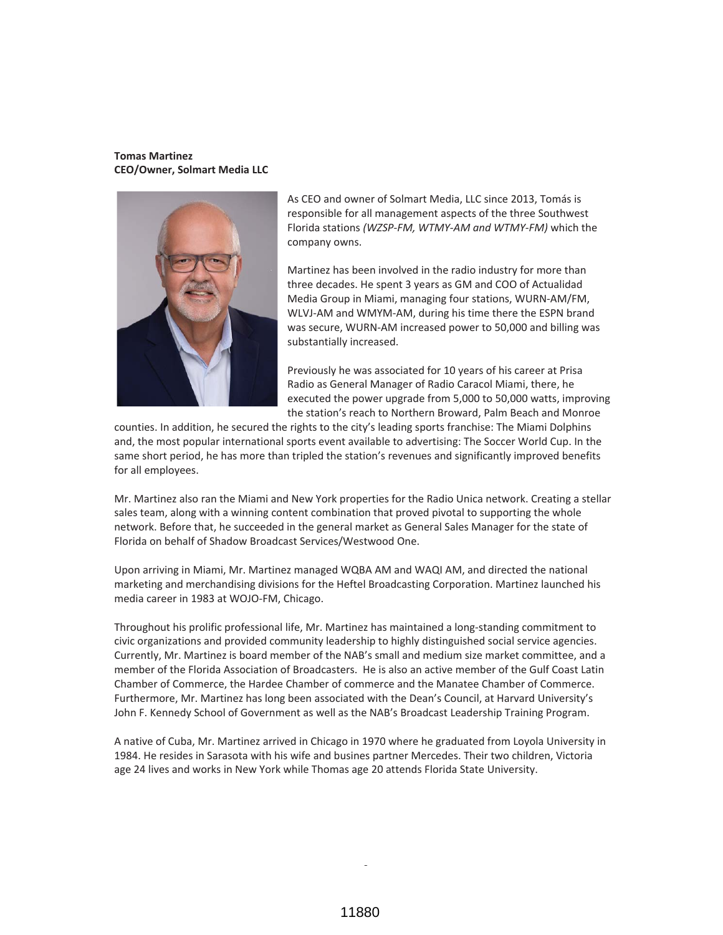#### **Tomas Martinez CEO/Owner, Solmart Media LLC**



As CEO and owner of Solmart Media, LLC since 2013, Tomás is responsible for all management aspects of the three Southwest Florida stations *(WZSP-FM, WTMY-AM and WTMY-FM)* which the company owns.

Martinez has been involved in the radio industry for more than three decades. He spent 3 years as GM and COO of Actualidad Media Group in Miami, managing four stations, WURN-AM/FM, WLVJ-AM and WMYM-AM, during his time there the ESPN brand was secure, WURN-AM increased power to 50,000 and billing was substantially increased.

Previously he was associated for 10 years of his career at Prisa Radio as General Manager of Radio Caracol Miami, there, he executed the power upgrade from 5,000 to 50,000 watts, improving the station's reach to Northern Broward, Palm Beach and Monroe

counties. In addition, he secured the rights to the city's leading sports franchise: The Miami Dolphins and, the most popular international sports event available to advertising: The Soccer World Cup. In the same short period, he has more than tripled the station's revenues and significantly improved benefits for all employees.

Mr. Martinez also ran the Miami and New York properties for the Radio Unica network. Creating a stellar sales team, along with a winning content combination that proved pivotal to supporting the whole network. Before that, he succeeded in the general market as General Sales Manager for the state of Florida on behalf of Shadow Broadcast Services/Westwood One.

Upon arriving in Miami, Mr. Martinez managed WQBA AM and WAQI AM, and directed the national marketing and merchandising divisions for the Heftel Broadcasting Corporation. Martinez launched his media career in 1983 at WOJO-FM, Chicago.

Throughout his prolific professional life, Mr. Martinez has maintained a long-standing commitment to civic organizations and provided community leadership to highly distinguished social service agencies. Currently, Mr. Martinez is board member of the NAB's small and medium size market committee, and a member of the Florida Association of Broadcasters. He is also an active member of the Gulf Coast Latin Chamber of Commerce, the Hardee Chamber of commerce and the Manatee Chamber of Commerce. Furthermore, Mr. Martinez has long been associated with the Dean's Council, at Harvard University's John F. Kennedy School of Government as well as the NAB's Broadcast Leadership Training Program.

A native of Cuba, Mr. Martinez arrived in Chicago in 1970 where he graduated from Loyola University in 1984. He resides in Sarasota with his wife and busines partner Mercedes. Their two children, Victoria age 24 lives and works in New York while Thomas age 20 attends Florida State University.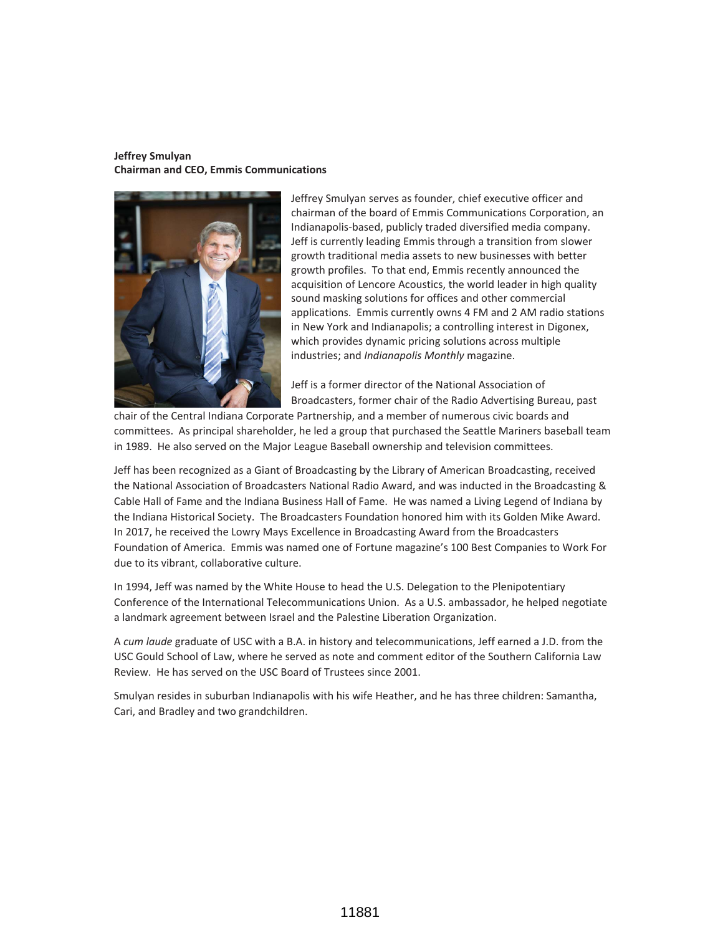### **Jeffrey Smulyan Chairman and CEO, Emmis Communications**



Jeffrey Smulyan serves as founder, chief executive officer and chairman of the board of Emmis Communications Corporation, an Indianapolis-based, publicly traded diversified media company. Jeff is currently leading Emmis through a transition from slower growth traditional media assets to new businesses with better growth profiles. To that end, Emmis recently announced the acquisition of Lencore Acoustics, the world leader in high quality sound masking solutions for offices and other commercial applications. Emmis currently owns 4 FM and 2 AM radio stations in New York and Indianapolis; a controlling interest in Digonex, which provides dynamic pricing solutions across multiple industries; and *Indianapolis Monthly* magazine.

Jeff is a former director of the National Association of Broadcasters, former chair of the Radio Advertising Bureau, past

chair of the Central Indiana Corporate Partnership, and a member of numerous civic boards and committees. As principal shareholder, he led a group that purchased the Seattle Mariners baseball team in 1989. He also served on the Major League Baseball ownership and television committees.

Jeff has been recognized as a Giant of Broadcasting by the Library of American Broadcasting, received the National Association of Broadcasters National Radio Award, and was inducted in the Broadcasting & Cable Hall of Fame and the Indiana Business Hall of Fame. He was named a Living Legend of Indiana by the Indiana Historical Society. The Broadcasters Foundation honored him with its Golden Mike Award. In 2017, he received the Lowry Mays Excellence in Broadcasting Award from the Broadcasters Foundation of America. Emmis was named one of Fortune magazine's 100 Best Companies to Work For due to its vibrant, collaborative culture.

In 1994, Jeff was named by the White House to head the U.S. Delegation to the Plenipotentiary Conference of the International Telecommunications Union. As a U.S. ambassador, he helped negotiate a landmark agreement between Israel and the Palestine Liberation Organization.

A *cum laude* graduate of USC with a B.A. in history and telecommunications, Jeff earned a J.D. from the USC Gould School of Law, where he served as note and comment editor of the Southern California Law Review. He has served on the USC Board of Trustees since 2001.

Smulyan resides in suburban Indianapolis with his wife Heather, and he has three children: Samantha, Cari, and Bradley and two grandchildren.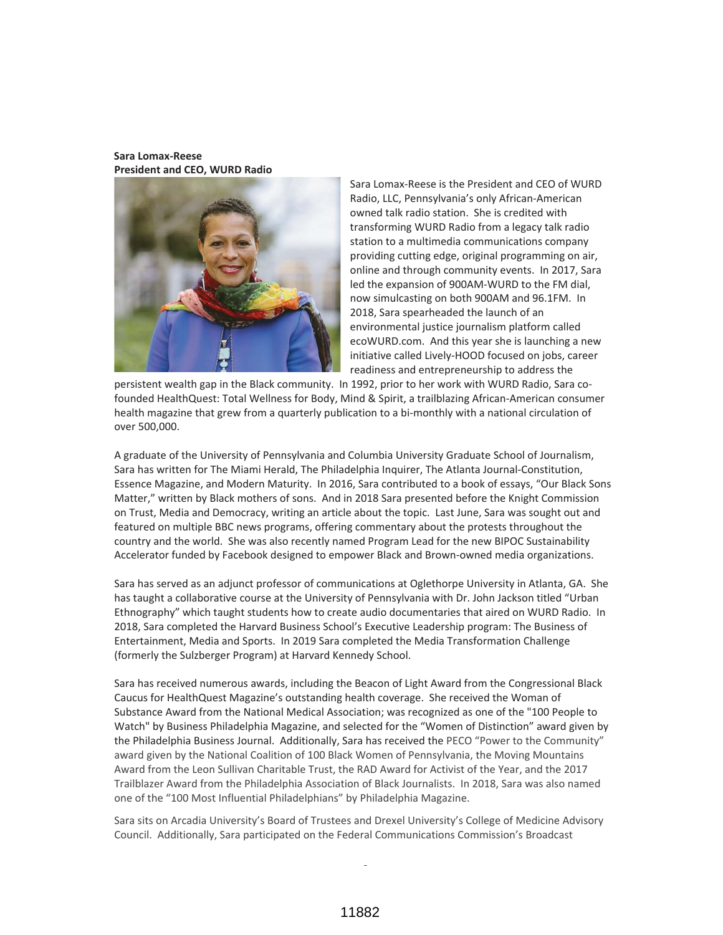**Sara Lomax-Reese President and CEO, WURD Radio**



Sara Lomax-Reese is the President and CEO of WURD Radio, LLC, Pennsylvania's only African-American owned talk radio station. She is credited with transforming WURD Radio from a legacy talk radio station to a multimedia communications company providing cutting edge, original programming on air, online and through community events. In 2017, Sara led the expansion of 900AM-WURD to the FM dial, now simulcasting on both 900AM and 96.1FM. In 2018, Sara spearheaded the launch of an environmental justice journalism platform called ecoWURD.com. And this year she is launching a new initiative called Lively-HOOD focused on jobs, career readiness and entrepreneurship to address the

persistent wealth gap in the Black community. In 1992, prior to her work with WURD Radio, Sara cofounded HealthQuest: Total Wellness for Body, Mind & Spirit, a trailblazing African-American consumer health magazine that grew from a quarterly publication to a bi-monthly with a national circulation of over 500,000.

A graduate of the University of Pennsylvania and Columbia University Graduate School of Journalism, Sara has written for The Miami Herald, The Philadelphia Inquirer, The Atlanta Journal-Constitution, Essence Magazine, and Modern Maturity. In 2016, Sara contributed to a book of essays, "Our Black Sons Matter," written by Black mothers of sons. And in 2018 Sara presented before the Knight Commission on Trust, Media and Democracy, writing an article about the topic. Last June, Sara was sought out and featured on multiple BBC news programs, offering commentary about the protests throughout the country and the world. She was also recently named Program Lead for the new BIPOC Sustainability Accelerator funded by Facebook designed to empower Black and Brown-owned media organizations.

Sara has served as an adjunct professor of communications at Oglethorpe University in Atlanta, GA. She has taught a collaborative course at the University of Pennsylvania with Dr. John Jackson titled "Urban Ethnography" which taught students how to create audio documentaries that aired on WURD Radio. In 2018, Sara completed the Harvard Business School's Executive Leadership program: The Business of Entertainment, Media and Sports. In 2019 Sara completed the Media Transformation Challenge (formerly the Sulzberger Program) at Harvard Kennedy School.

Sara has received numerous awards, including the Beacon of Light Award from the Congressional Black Caucus for HealthQuest Magazine's outstanding health coverage. She received the Woman of Substance Award from the National Medical Association; was recognized as one of the "100 People to Watch" by Business Philadelphia Magazine, and selected for the "Women of Distinction" award given by the Philadelphia Business Journal. Additionally, Sara has received the PECO "Power to the Community" award given by the National Coalition of 100 Black Women of Pennsylvania, the Moving Mountains Award from the Leon Sullivan Charitable Trust, the RAD Award for Activist of the Year, and the 2017 Trailblazer Award from the Philadelphia Association of Black Journalists. In 2018, Sara was also named one of the "100 Most Influential Philadelphians" by Philadelphia Magazine.

Sara sits on Arcadia University's Board of Trustees and Drexel University's College of Medicine Advisory Council. Additionally, Sara participated on the Federal Communications Commission's Broadcast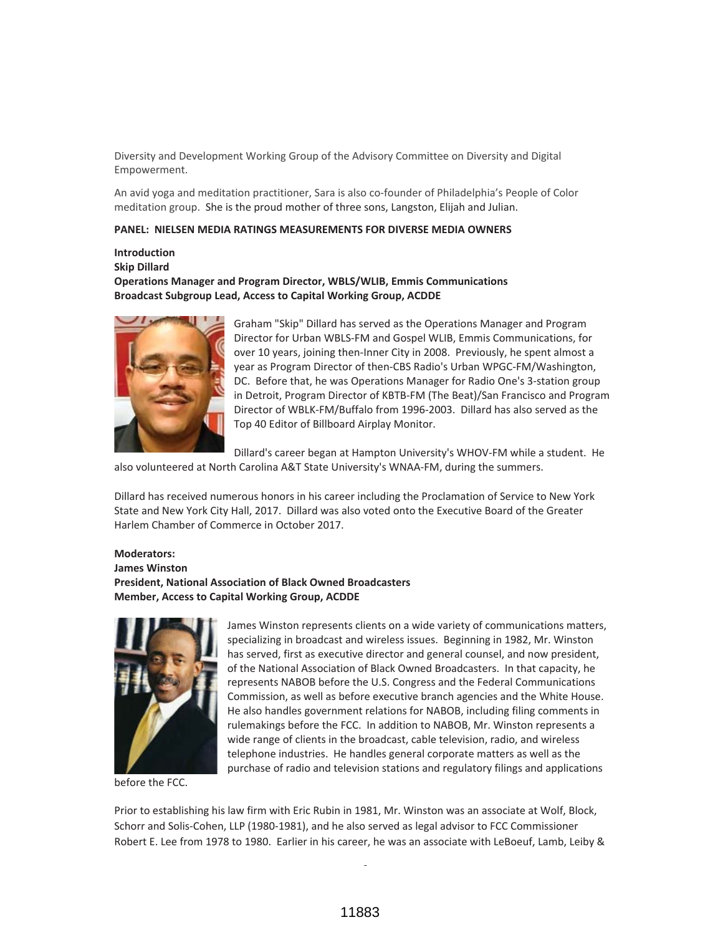Diversity and Development Working Group of the Advisory Committee on Diversity and Digital Empowerment.

An avid yoga and meditation practitioner, Sara is also co-founder of Philadelphia's People of Color meditation group. She is the proud mother of three sons, Langston, Elijah and Julian.

#### **PANEL: NIELSEN MEDIA RATINGS MEASUREMENTS FOR DIVERSE MEDIA OWNERS**

**Introduction Skip Dillard Operations Manager and Program Director, WBLS/WLIB, Emmis Communications Broadcast Subgroup Lead, Access to Capital Working Group, ACDDE**



Graham "Skip" Dillard has served as the Operations Manager and Program Director for Urban WBLS-FM and Gospel WLIB, Emmis Communications, for over 10 years, joining then-Inner City in 2008. Previously, he spent almost a year as Program Director of then-CBS Radio's Urban WPGC-FM/Washington, DC. Before that, he was Operations Manager for Radio One's 3-station group in Detroit, Program Director of KBTB-FM (The Beat)/San Francisco and Program Director of WBLK-FM/Buffalo from 1996-2003. Dillard has also served as the Top 40 Editor of Billboard Airplay Monitor.

Dillard's career began at Hampton University's WHOV-FM while a student. He

also volunteered at North Carolina A&T State University's WNAA-FM, during the summers.

Dillard has received numerous honors in his career including the Proclamation of Service to New York State and New York City Hall, 2017. Dillard was also voted onto the Executive Board of the Greater Harlem Chamber of Commerce in October 2017.

### **Moderators: James Winston President, National Association of Black Owned Broadcasters Member, Access to Capital Working Group, ACDDE**



before the FCC.

James Winston represents clients on a wide variety of communications matters, specializing in broadcast and wireless issues. Beginning in 1982, Mr. Winston has served, first as executive director and general counsel, and now president, of the National Association of Black Owned Broadcasters. In that capacity, he represents NABOB before the U.S. Congress and the Federal Communications Commission, as well as before executive branch agencies and the White House. He also handles government relations for NABOB, including filing comments in rulemakings before the FCC. In addition to NABOB, Mr. Winston represents a wide range of clients in the broadcast, cable television, radio, and wireless telephone industries. He handles general corporate matters as well as the purchase of radio and television stations and regulatory filings and applications

Prior to establishing his law firm with Eric Rubin in 1981, Mr. Winston was an associate at Wolf, Block, Schorr and Solis-Cohen, LLP (1980-1981), and he also served as legal advisor to FCC Commissioner Robert E. Lee from 1978 to 1980. Earlier in his career, he was an associate with LeBoeuf, Lamb, Leiby &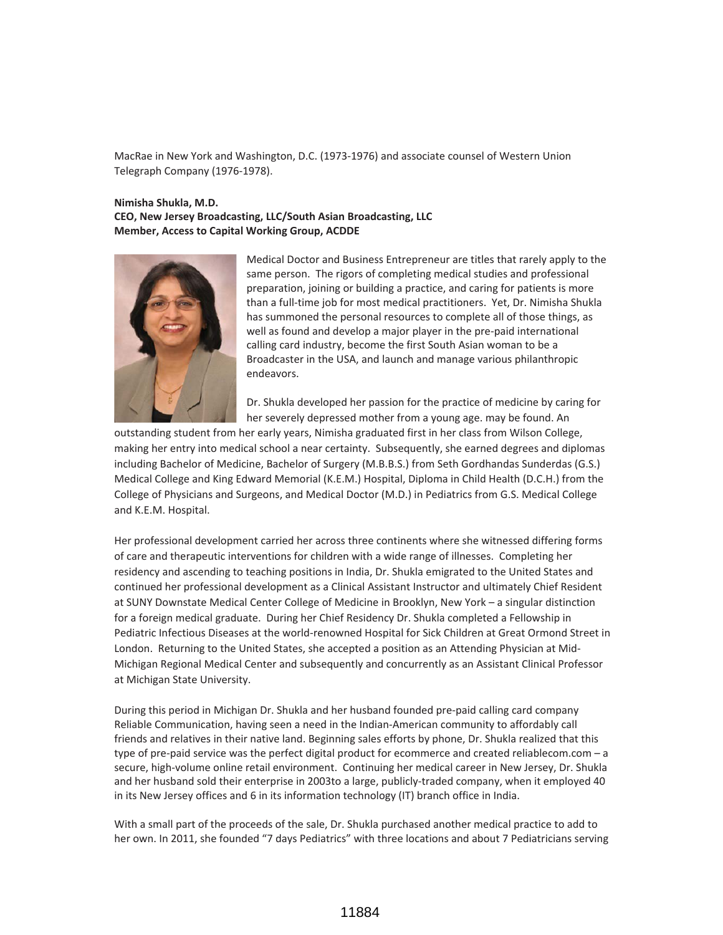MacRae in New York and Washington, D.C. (1973-1976) and associate counsel of Western Union Telegraph Company (1976-1978).

### **Nimisha Shukla, M.D. CEO, New Jersey Broadcasting, LLC/South Asian Broadcasting, LLC Member, Access to Capital Working Group, ACDDE**



Medical Doctor and Business Entrepreneur are titles that rarely apply to the same person. The rigors of completing medical studies and professional preparation, joining or building a practice, and caring for patients is more than a full-time job for most medical practitioners. Yet, Dr. Nimisha Shukla has summoned the personal resources to complete all of those things, as well as found and develop a major player in the pre-paid international calling card industry, become the first South Asian woman to be a Broadcaster in the USA, and launch and manage various philanthropic endeavors.

Dr. Shukla developed her passion for the practice of medicine by caring for her severely depressed mother from a young age. may be found. An

outstanding student from her early years, Nimisha graduated first in her class from Wilson College, making her entry into medical school a near certainty. Subsequently, she earned degrees and diplomas including Bachelor of Medicine, Bachelor of Surgery (M.B.B.S.) from Seth Gordhandas Sunderdas (G.S.) Medical College and King Edward Memorial (K.E.M.) Hospital, Diploma in Child Health (D.C.H.) from the College of Physicians and Surgeons, and Medical Doctor (M.D.) in Pediatrics from G.S. Medical College and K.E.M. Hospital.

Her professional development carried her across three continents where she witnessed differing forms of care and therapeutic interventions for children with a wide range of illnesses. Completing her residency and ascending to teaching positions in India, Dr. Shukla emigrated to the United States and continued her professional development as a Clinical Assistant Instructor and ultimately Chief Resident at SUNY Downstate Medical Center College of Medicine in Brooklyn, New York – a singular distinction for a foreign medical graduate. During her Chief Residency Dr. Shukla completed a Fellowship in Pediatric Infectious Diseases at the world-renowned Hospital for Sick Children at Great Ormond Street in London. Returning to the United States, she accepted a position as an Attending Physician at Mid-Michigan Regional Medical Center and subsequently and concurrently as an Assistant Clinical Professor at Michigan State University.

During this period in Michigan Dr. Shukla and her husband founded pre-paid calling card company Reliable Communication, having seen a need in the Indian-American community to affordably call friends and relatives in their native land. Beginning sales efforts by phone, Dr. Shukla realized that this type of pre-paid service was the perfect digital product for ecommerce and created reliablecom.com – a secure, high-volume online retail environment. Continuing her medical career in New Jersey, Dr. Shukla and her husband sold their enterprise in 2003to a large, publicly-traded company, when it employed 40 in its New Jersey offices and 6 in its information technology (IT) branch office in India.

With a small part of the proceeds of the sale, Dr. Shukla purchased another medical practice to add to her own. In 2011, she founded "7 days Pediatrics" with three locations and about 7 Pediatricians serving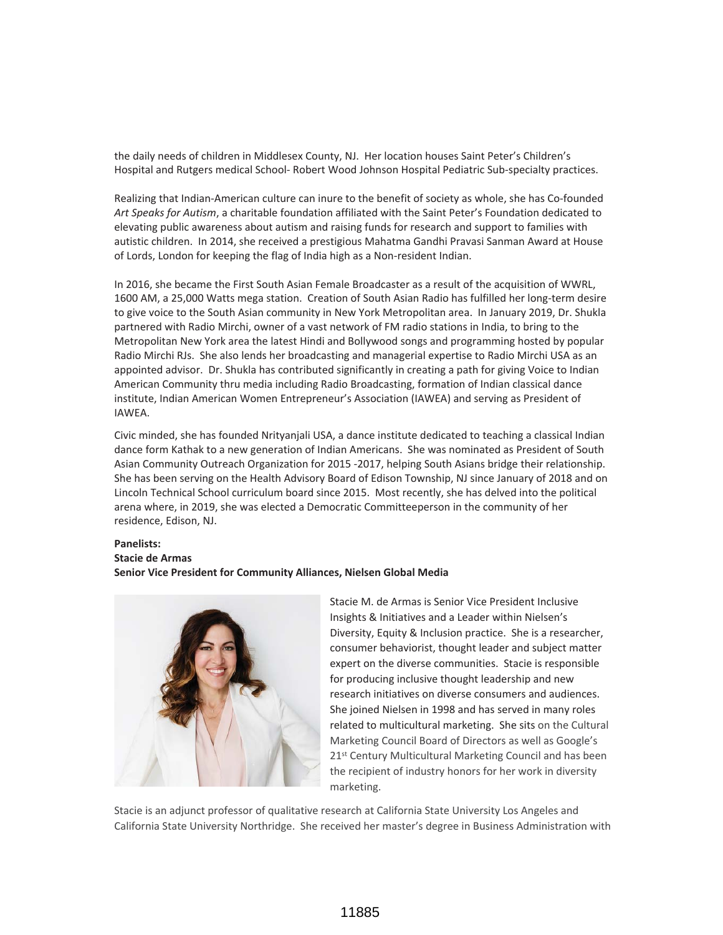the daily needs of children in Middlesex County, NJ. Her location houses Saint Peter's Children's Hospital and Rutgers medical School- Robert Wood Johnson Hospital Pediatric Sub-specialty practices.

Realizing that Indian-American culture can inure to the benefit of society as whole, she has Co-founded *Art Speaks for Autism*, a charitable foundation affiliated with the Saint Peter's Foundation dedicated to elevating public awareness about autism and raising funds for research and support to families with autistic children. In 2014, she received a prestigious Mahatma Gandhi Pravasi Sanman Award at House of Lords, London for keeping the flag of India high as a Non-resident Indian.

In 2016, she became the First South Asian Female Broadcaster as a result of the acquisition of WWRL, 1600 AM, a 25,000 Watts mega station. Creation of South Asian Radio has fulfilled her long-term desire to give voice to the South Asian community in New York Metropolitan area. In January 2019, Dr. Shukla partnered with Radio Mirchi, owner of a vast network of FM radio stations in India, to bring to the Metropolitan New York area the latest Hindi and Bollywood songs and programming hosted by popular Radio Mirchi RJs. She also lends her broadcasting and managerial expertise to Radio Mirchi USA as an appointed advisor. Dr. Shukla has contributed significantly in creating a path for giving Voice to Indian American Community thru media including Radio Broadcasting, formation of Indian classical dance institute, Indian American Women Entrepreneur's Association (IAWEA) and serving as President of IAWEA.

Civic minded, she has founded Nrityanjali USA, a dance institute dedicated to teaching a classical Indian dance form Kathak to a new generation of Indian Americans. She was nominated as President of South Asian Community Outreach Organization for 2015 -2017, helping South Asians bridge their relationship. She has been serving on the Health Advisory Board of Edison Township, NJ since January of 2018 and on Lincoln Technical School curriculum board since 2015. Most recently, she has delved into the political arena where, in 2019, she was elected a Democratic Committeeperson in the community of her residence, Edison, NJ.

### **Panelists: Stacie de Armas Senior Vice President for Community Alliances, Nielsen Global Media**



Stacie M. de Armas is Senior Vice President Inclusive Insights & Initiatives and a Leader within Nielsen's Diversity, Equity & Inclusion practice. She is a researcher, consumer behaviorist, thought leader and subject matter expert on the diverse communities. Stacie is responsible for producing inclusive thought leadership and new research initiatives on diverse consumers and audiences. She joined Nielsen in 1998 and has served in many roles related to multicultural marketing. She sits on the Cultural Marketing Council Board of Directors as well as Google's 21<sup>st</sup> Century Multicultural Marketing Council and has been the recipient of industry honors for her work in diversity marketing.

Stacie is an adjunct professor of qualitative research at California State University Los Angeles and California State University Northridge. She received her master's degree in Business Administration with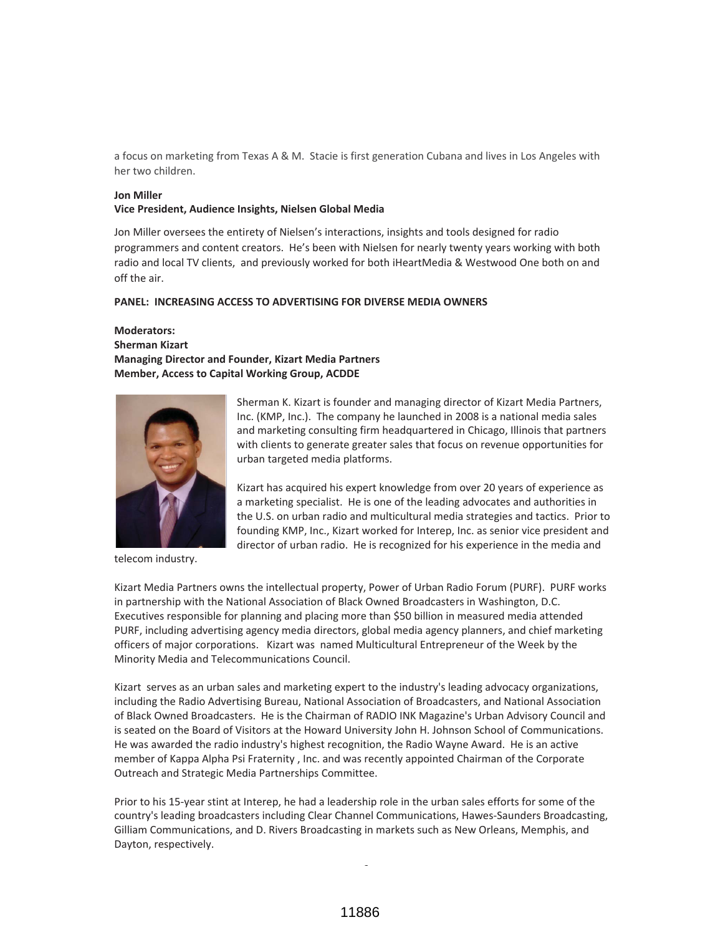a focus on marketing from Texas A & M. Stacie is first generation Cubana and lives in Los Angeles with her two children.

### **Jon Miller**

#### **Vice President, Audience Insights, Nielsen Global Media**

Jon Miller oversees the entirety of Nielsen's interactions, insights and tools designed for radio programmers and content creators. He's been with Nielsen for nearly twenty years working with both radio and local TV clients, and previously worked for both iHeartMedia & Westwood One both on and off the air.

#### **PANEL: INCREASING ACCESS TO ADVERTISING FOR DIVERSE MEDIA OWNERS**

### **Moderators: Sherman Kizart Managing Director and Founder, Kizart Media Partners Member, Access to Capital Working Group, ACDDE**



telecom industry.

Sherman K. Kizart is founder and managing director of Kizart Media Partners, Inc. (KMP, Inc.). The company he launched in 2008 is a national media sales and marketing consulting firm headquartered in Chicago, Illinois that partners with clients to generate greater sales that focus on revenue opportunities for urban targeted media platforms.

Kizart has acquired his expert knowledge from over 20 years of experience as a marketing specialist. He is one of the leading advocates and authorities in the U.S. on urban radio and multicultural media strategies and tactics. Prior to founding KMP, Inc., Kizart worked for Interep, Inc. as senior vice president and director of urban radio. He is recognized for his experience in the media and

Kizart Media Partners owns the intellectual property, Power of Urban Radio Forum (PURF). PURF works in partnership with the National Association of Black Owned Broadcasters in Washington, D.C. Executives responsible for planning and placing more than \$50 billion in measured media attended PURF, including advertising agency media directors, global media agency planners, and chief marketing officers of major corporations. Kizart was named Multicultural Entrepreneur of the Week by the Minority Media and Telecommunications Council.

Kizart serves as an urban sales and marketing expert to the industry's leading advocacy organizations, including the Radio Advertising Bureau, National Association of Broadcasters, and National Association of Black Owned Broadcasters. He is the Chairman of RADIO INK Magazine's Urban Advisory Council and is seated on the Board of Visitors at the Howard University John H. Johnson School of Communications. He was awarded the radio industry's highest recognition, the Radio Wayne Award. He is an active member of Kappa Alpha Psi Fraternity , Inc. and was recently appointed Chairman of the Corporate Outreach and Strategic Media Partnerships Committee.

Prior to his 15-year stint at Interep, he had a leadership role in the urban sales efforts for some of the country's leading broadcasters including Clear Channel Communications, Hawes-Saunders Broadcasting, Gilliam Communications, and D. Rivers Broadcasting in markets such as New Orleans, Memphis, and Dayton, respectively.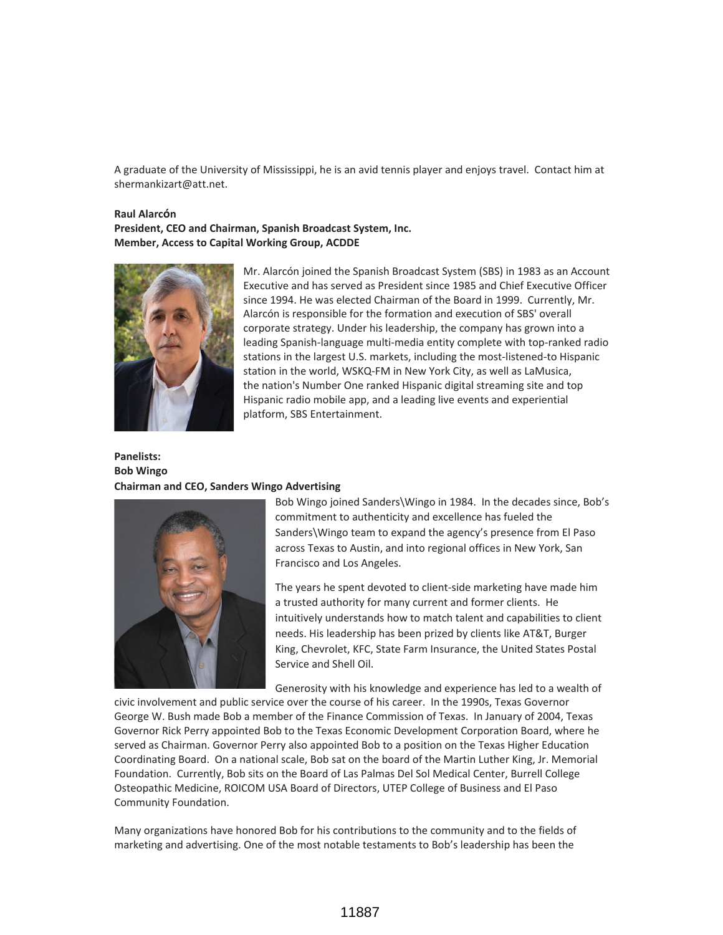A graduate of the University of Mississippi, he is an avid tennis player and enjoys travel. Contact him at shermankizart@att.net.

#### **Raul Alarcón**

**President, CEO and Chairman, Spanish Broadcast System, Inc. Member, Access to Capital Working Group, ACDDE**



Mr. Alarcón joined the Spanish Broadcast System (SBS) in 1983 as an Account Executive and has served as President since 1985 and Chief Executive Officer since 1994. He was elected Chairman of the Board in 1999. Currently, Mr. Alarcón is responsible for the formation and execution of SBS' overall corporate strategy. Under his leadership, the company has grown into a leading Spanish-language multi-media entity complete with top-ranked radio stations in the largest U.S. markets, including the most-listened-to Hispanic station in the world, WSKQ-FM in New York City, as well as LaMusica, the nation's Number One ranked Hispanic digital streaming site and top Hispanic radio mobile app, and a leading live events and experiential platform, SBS Entertainment.

# **Panelists: Bob Wingo Chairman and CEO, Sanders Wingo Advertising**



Bob Wingo joined Sanders\Wingo in 1984. In the decades since, Bob's commitment to authenticity and excellence has fueled the Sanders\Wingo team to expand the agency's presence from El Paso across Texas to Austin, and into regional offices in New York, San Francisco and Los Angeles.

The years he spent devoted to client-side marketing have made him a trusted authority for many current and former clients. He intuitively understands how to match talent and capabilities to client needs. His leadership has been prized by clients like AT&T, Burger King, Chevrolet, KFC, State Farm Insurance, the United States Postal Service and Shell Oil.

Generosity with his knowledge and experience has led to a wealth of

civic involvement and public service over the course of his career. In the 1990s, Texas Governor George W. Bush made Bob a member of the Finance Commission of Texas. In January of 2004, Texas Governor Rick Perry appointed Bob to the Texas Economic Development Corporation Board, where he served as Chairman. Governor Perry also appointed Bob to a position on the Texas Higher Education Coordinating Board. On a national scale, Bob sat on the board of the Martin Luther King, Jr. Memorial Foundation. Currently, Bob sits on the Board of Las Palmas Del Sol Medical Center, Burrell College Osteopathic Medicine, ROICOM USA Board of Directors, UTEP College of Business and El Paso Community Foundation.

Many organizations have honored Bob for his contributions to the community and to the fields of marketing and advertising. One of the most notable testaments to Bob's leadership has been the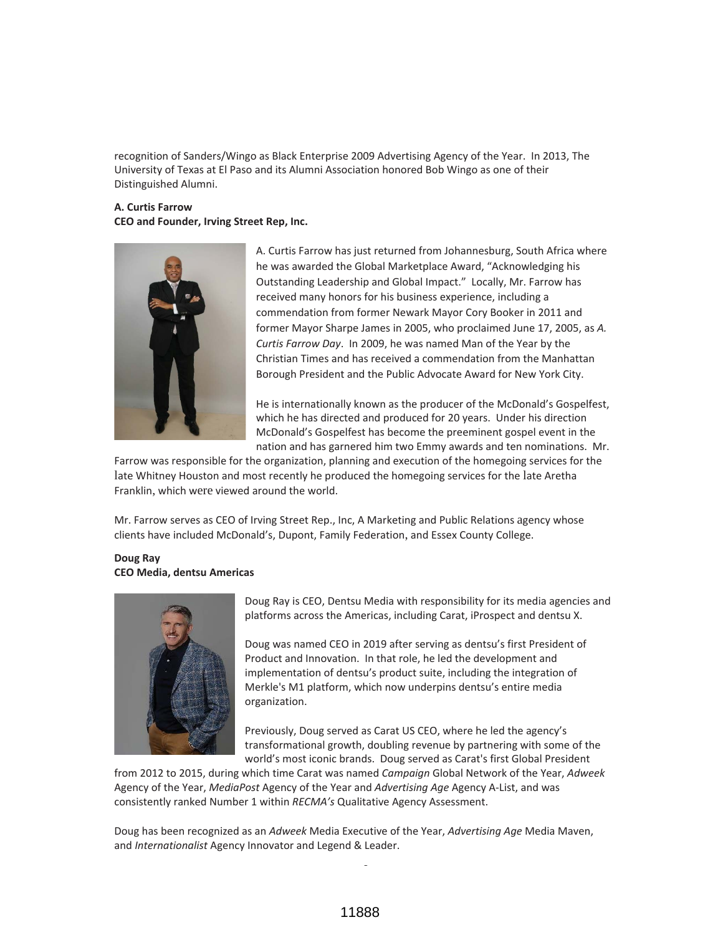recognition of Sanders/Wingo as Black Enterprise 2009 Advertising Agency of the Year. In 2013, The University of Texas at El Paso and its Alumni Association honored Bob Wingo as one of their Distinguished Alumni.

# **A. Curtis Farrow CEO and Founder, Irving Street Rep, Inc.**



A. Curtis Farrow has just returned from Johannesburg, South Africa where he was awarded the Global Marketplace Award, "Acknowledging his Outstanding Leadership and Global Impact." Locally, Mr. Farrow has received many honors for his business experience, including a commendation from former Newark Mayor Cory Booker in 2011 and former Mayor Sharpe James in 2005, who proclaimed June 17, 2005, as *A. Curtis Farrow Day*. In 2009, he was named Man of the Year by the Christian Times and has received a commendation from the Manhattan Borough President and the Public Advocate Award for New York City.

He is internationally known as the producer of the McDonald's Gospelfest, which he has directed and produced for 20 years. Under his direction McDonald's Gospelfest has become the preeminent gospel event in the nation and has garnered him two Emmy awards and ten nominations. Mr.

Farrow was responsible for the organization, planning and execution of the homegoing services for the late Whitney Houston and most recently he produced the homegoing services for the late Aretha Franklin, which were viewed around the world.

Mr. Farrow serves as CEO of Irving Street Rep., Inc, A Marketing and Public Relations agency whose clients have included McDonald's, Dupont, Family Federation, and Essex County College.

### **Doug Ray CEO Media, dentsu Americas**



Doug Ray is CEO, Dentsu Media with responsibility for its media agencies and platforms across the Americas, including Carat, iProspect and dentsu X.

Doug was named CEO in 2019 after serving as dentsu's first President of Product and Innovation. In that role, he led the development and implementation of dentsu's product suite, including the integration of Merkle's M1 platform, which now underpins dentsu's entire media organization.

Previously, Doug served as Carat US CEO, where he led the agency's transformational growth, doubling revenue by partnering with some of the world's most iconic brands. Doug served as Carat's first Global President

from 2012 to 2015, during which time Carat was named *Campaign* Global Network of the Year, *Adweek* Agency of the Year, *MediaPost* Agency of the Year and *Advertising Age* Agency A-List, and was consistently ranked Number 1 within *RECMA's* Qualitative Agency Assessment.

Doug has been recognized as an *Adweek* Media Executive of the Year, *Advertising Age* Media Maven, and *Internationalist* Agency Innovator and Legend & Leader.